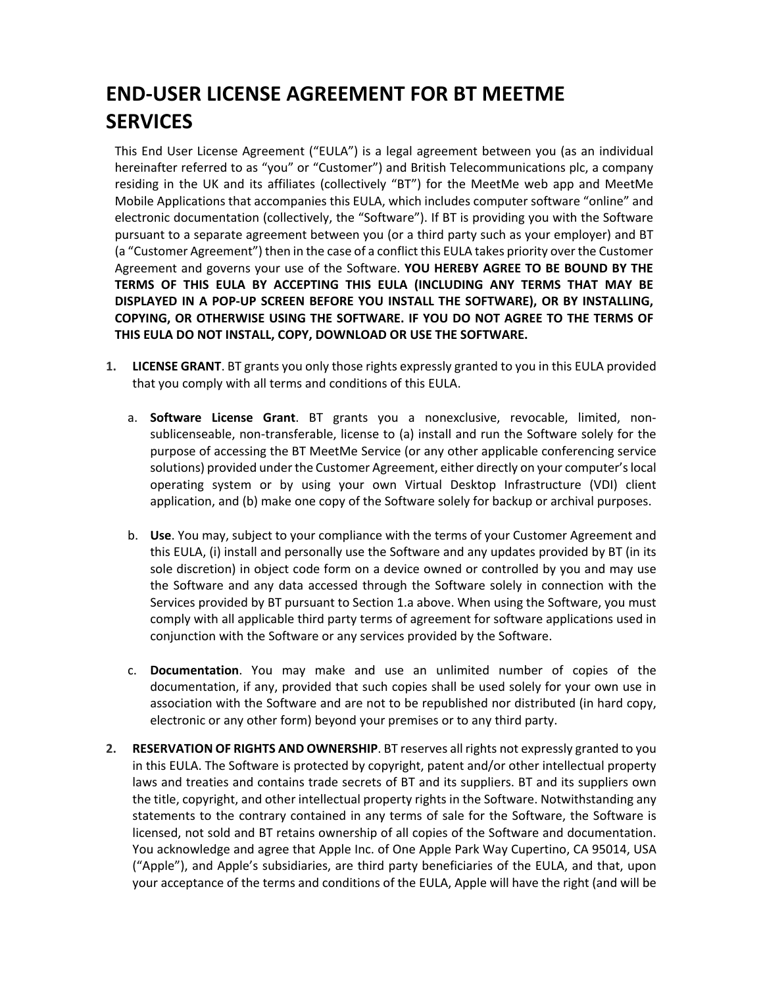# **END-USER LICENSE AGREEMENT FOR BT MEETME SERVICES**

This End User License Agreement ("EULA") is a legal agreement between you (as an individual hereinafter referred to as "you" or "Customer") and British Telecommunications plc, a company residing in the UK and its affiliates (collectively "BT") for the MeetMe web app and MeetMe Mobile Applications that accompanies this EULA, which includes computer software "online" and electronic documentation (collectively, the "Software"). If BT is providing you with the Software pursuant to a separate agreement between you (or a third party such as your employer) and BT (a "Customer Agreement") then in the case of a conflict this EULA takes priority over the Customer Agreement and governs your use of the Software. **YOU HEREBY AGREE TO BE BOUND BY THE TERMS OF THIS EULA BY ACCEPTING THIS EULA (INCLUDING ANY TERMS THAT MAY BE DISPLAYED IN A POP-UP SCREEN BEFORE YOU INSTALL THE SOFTWARE), OR BY INSTALLING, COPYING, OR OTHERWISE USING THE SOFTWARE. IF YOU DO NOT AGREE TO THE TERMS OF THIS EULA DO NOT INSTALL, COPY, DOWNLOAD OR USE THE SOFTWARE.**

- **1. LICENSE GRANT**. BT grants you only those rights expressly granted to you in this EULA provided that you comply with all terms and conditions of this EULA.
	- a. **Software License Grant**. BT grants you a nonexclusive, revocable, limited, nonsublicenseable, non-transferable, license to (a) install and run the Software solely for the purpose of accessing the BT MeetMe Service (or any other applicable conferencing service solutions) provided under the Customer Agreement, either directly on your computer's local operating system or by using your own Virtual Desktop Infrastructure (VDI) client application, and (b) make one copy of the Software solely for backup or archival purposes.
	- b. **Use**. You may, subject to your compliance with the terms of your Customer Agreement and this EULA, (i) install and personally use the Software and any updates provided by BT (in its sole discretion) in object code form on a device owned or controlled by you and may use the Software and any data accessed through the Software solely in connection with the Services provided by BT pursuant to Section 1.a above. When using the Software, you must comply with all applicable third party terms of agreement for software applications used in conjunction with the Software or any services provided by the Software.
	- c. **Documentation**. You may make and use an unlimited number of copies of the documentation, if any, provided that such copies shall be used solely for your own use in association with the Software and are not to be republished nor distributed (in hard copy, electronic or any other form) beyond your premises or to any third party.
- **2. RESERVATION OF RIGHTS AND OWNERSHIP**. BT reserves all rights not expressly granted to you in this EULA. The Software is protected by copyright, patent and/or other intellectual property laws and treaties and contains trade secrets of BT and its suppliers. BT and its suppliers own the title, copyright, and other intellectual property rights in the Software. Notwithstanding any statements to the contrary contained in any terms of sale for the Software, the Software is licensed, not sold and BT retains ownership of all copies of the Software and documentation. You acknowledge and agree that Apple Inc. of One Apple Park Way Cupertino, CA 95014, USA ("Apple"), and Apple's subsidiaries, are third party beneficiaries of the EULA, and that, upon your acceptance of the terms and conditions of the EULA, Apple will have the right (and will be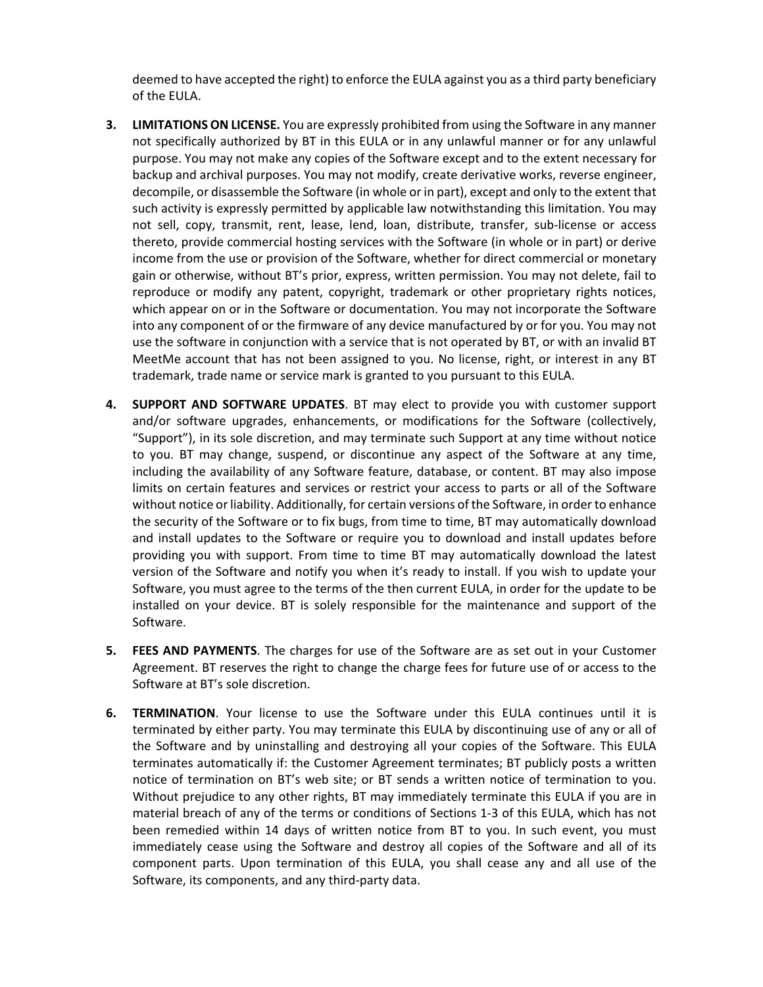deemed to have accepted the right) to enforce the EULA against you as a third party beneficiary of the EULA.

- **3. LIMITATIONS ON LICENSE.** You are expressly prohibited from using the Software in any manner not specifically authorized by BT in this EULA or in any unlawful manner or for any unlawful purpose. You may not make any copies of the Software except and to the extent necessary for backup and archival purposes. You may not modify, create derivative works, reverse engineer, decompile, or disassemble the Software (in whole or in part), except and only to the extent that such activity is expressly permitted by applicable law notwithstanding this limitation. You may not sell, copy, transmit, rent, lease, lend, loan, distribute, transfer, sub-license or access thereto, provide commercial hosting services with the Software (in whole or in part) or derive income from the use or provision of the Software, whether for direct commercial or monetary gain or otherwise, without BT's prior, express, written permission. You may not delete, fail to reproduce or modify any patent, copyright, trademark or other proprietary rights notices, which appear on or in the Software or documentation. You may not incorporate the Software into any component of or the firmware of any device manufactured by or for you. You may not use the software in conjunction with a service that is not operated by BT, or with an invalid BT MeetMe account that has not been assigned to you. No license, right, or interest in any BT trademark, trade name or service mark is granted to you pursuant to this EULA.
- **4. SUPPORT AND SOFTWARE UPDATES**. BT may elect to provide you with customer support and/or software upgrades, enhancements, or modifications for the Software (collectively, "Support"), in its sole discretion, and may terminate such Support at any time without notice to you. BT may change, suspend, or discontinue any aspect of the Software at any time, including the availability of any Software feature, database, or content. BT may also impose limits on certain features and services or restrict your access to parts or all of the Software without notice or liability. Additionally, for certain versions of the Software, in order to enhance the security of the Software or to fix bugs, from time to time, BT may automatically download and install updates to the Software or require you to download and install updates before providing you with support. From time to time BT may automatically download the latest version of the Software and notify you when it's ready to install. If you wish to update your Software, you must agree to the terms of the then current EULA, in order for the update to be installed on your device. BT is solely responsible for the maintenance and support of the Software.
- **5. FEES AND PAYMENTS**. The charges for use of the Software are as set out in your Customer Agreement. BT reserves the right to change the charge fees for future use of or access to the Software at BT's sole discretion.
- **6. TERMINATION**. Your license to use the Software under this EULA continues until it is terminated by either party. You may terminate this EULA by discontinuing use of any or all of the Software and by uninstalling and destroying all your copies of the Software. This EULA terminates automatically if: the Customer Agreement terminates; BT publicly posts a written notice of termination on BT's web site; or BT sends a written notice of termination to you. Without prejudice to any other rights, BT may immediately terminate this EULA if you are in material breach of any of the terms or conditions of Sections 1-3 of this EULA, which has not been remedied within 14 days of written notice from BT to you. In such event, you must immediately cease using the Software and destroy all copies of the Software and all of its component parts. Upon termination of this EULA, you shall cease any and all use of the Software, its components, and any third-party data.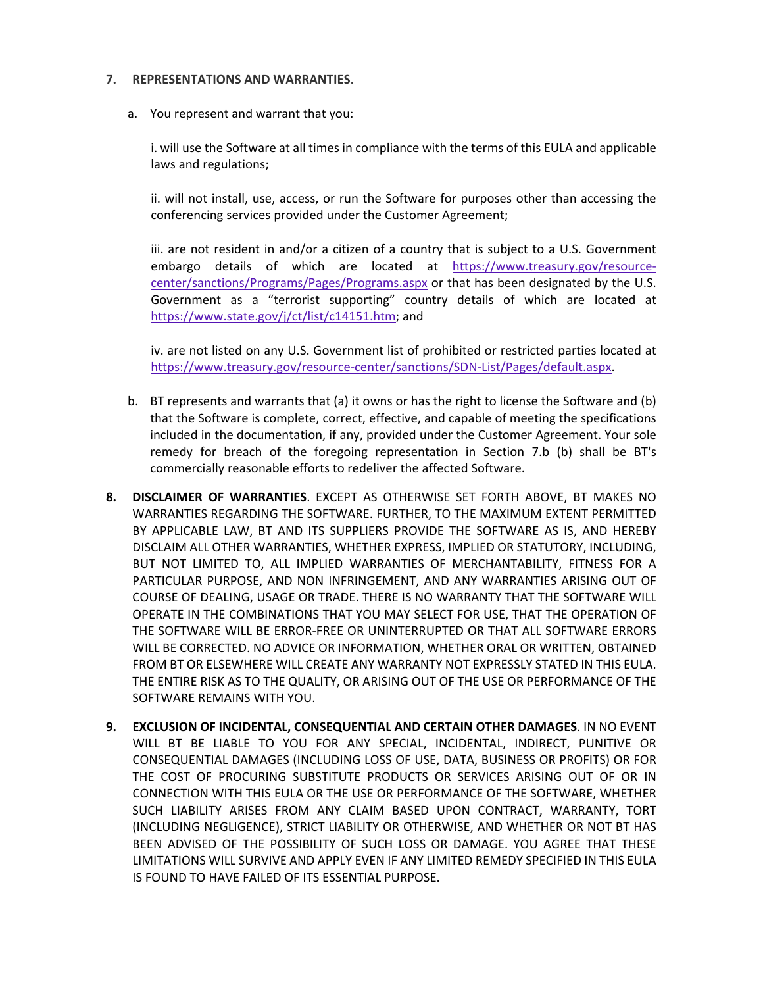### **7. REPRESENTATIONS AND WARRANTIES**.

a. You represent and warrant that you:

i. will use the Software at all times in compliance with the terms of this EULA and applicable laws and regulations;

ii. will not install, use, access, or run the Software for purposes other than accessing the conferencing services provided under the Customer Agreement;

iii. are not resident in and/or a citizen of a country that is subject to a U.S. Government embargo details of which are located at [https://www.treasury.gov/resource](https://www.treasury.gov/resource-center/sanctions/Programs/Pages/Programs.aspx)[center/sanctions/Programs/Pages/Programs.aspx](https://www.treasury.gov/resource-center/sanctions/Programs/Pages/Programs.aspx) or that has been designated by the U.S. Government as a "terrorist supporting" country details of which are located at [https://www.state.gov/j/ct/list/c14151.htm;](https://www.state.gov/j/ct/list/c14151.htm) and

iv. are not listed on any U.S. Government list of prohibited or restricted parties located at [https://www.treasury.gov/resource-center/sanctions/SDN-List/Pages/default.aspx.](https://www.treasury.gov/resource-center/sanctions/SDN-List/Pages/default.aspx)

- b. BT represents and warrants that (a) it owns or has the right to license the Software and (b) that the Software is complete, correct, effective, and capable of meeting the specifications included in the documentation, if any, provided under the Customer Agreement. Your sole remedy for breach of the foregoing representation in Section 7.b (b) shall be BT's commercially reasonable efforts to redeliver the affected Software.
- **8. DISCLAIMER OF WARRANTIES**. EXCEPT AS OTHERWISE SET FORTH ABOVE, BT MAKES NO WARRANTIES REGARDING THE SOFTWARE. FURTHER, TO THE MAXIMUM EXTENT PERMITTED BY APPLICABLE LAW, BT AND ITS SUPPLIERS PROVIDE THE SOFTWARE AS IS, AND HEREBY DISCLAIM ALL OTHER WARRANTIES, WHETHER EXPRESS, IMPLIED OR STATUTORY, INCLUDING, BUT NOT LIMITED TO, ALL IMPLIED WARRANTIES OF MERCHANTABILITY, FITNESS FOR A PARTICULAR PURPOSE, AND NON INFRINGEMENT, AND ANY WARRANTIES ARISING OUT OF COURSE OF DEALING, USAGE OR TRADE. THERE IS NO WARRANTY THAT THE SOFTWARE WILL OPERATE IN THE COMBINATIONS THAT YOU MAY SELECT FOR USE, THAT THE OPERATION OF THE SOFTWARE WILL BE ERROR-FREE OR UNINTERRUPTED OR THAT ALL SOFTWARE ERRORS WILL BE CORRECTED. NO ADVICE OR INFORMATION, WHETHER ORAL OR WRITTEN, OBTAINED FROM BT OR ELSEWHERE WILL CREATE ANY WARRANTY NOT EXPRESSLY STATED IN THIS EULA. THE ENTIRE RISK AS TO THE QUALITY, OR ARISING OUT OF THE USE OR PERFORMANCE OF THE SOFTWARE REMAINS WITH YOU.
- **9. EXCLUSION OF INCIDENTAL, CONSEQUENTIAL AND CERTAIN OTHER DAMAGES**. IN NO EVENT WILL BT BE LIABLE TO YOU FOR ANY SPECIAL, INCIDENTAL, INDIRECT, PUNITIVE OR CONSEQUENTIAL DAMAGES (INCLUDING LOSS OF USE, DATA, BUSINESS OR PROFITS) OR FOR THE COST OF PROCURING SUBSTITUTE PRODUCTS OR SERVICES ARISING OUT OF OR IN CONNECTION WITH THIS EULA OR THE USE OR PERFORMANCE OF THE SOFTWARE, WHETHER SUCH LIABILITY ARISES FROM ANY CLAIM BASED UPON CONTRACT, WARRANTY, TORT (INCLUDING NEGLIGENCE), STRICT LIABILITY OR OTHERWISE, AND WHETHER OR NOT BT HAS BEEN ADVISED OF THE POSSIBILITY OF SUCH LOSS OR DAMAGE. YOU AGREE THAT THESE LIMITATIONS WILL SURVIVE AND APPLY EVEN IF ANY LIMITED REMEDY SPECIFIED IN THIS EULA IS FOUND TO HAVE FAILED OF ITS ESSENTIAL PURPOSE.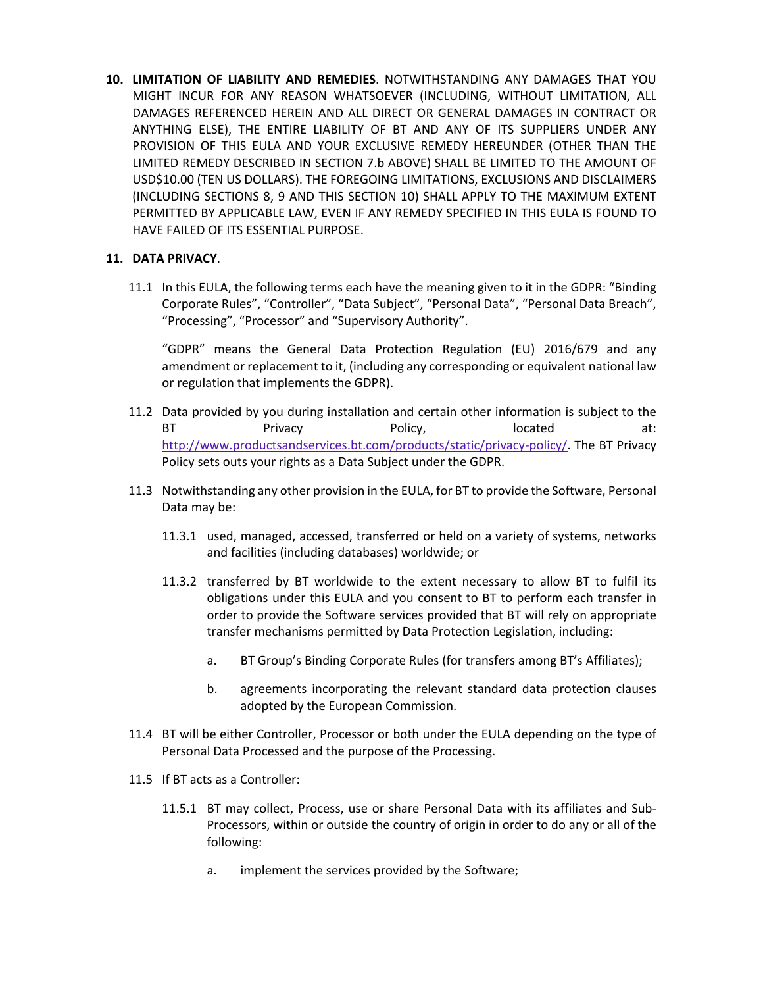**10. LIMITATION OF LIABILITY AND REMEDIES**. NOTWITHSTANDING ANY DAMAGES THAT YOU MIGHT INCUR FOR ANY REASON WHATSOEVER (INCLUDING, WITHOUT LIMITATION, ALL DAMAGES REFERENCED HEREIN AND ALL DIRECT OR GENERAL DAMAGES IN CONTRACT OR ANYTHING ELSE), THE ENTIRE LIABILITY OF BT AND ANY OF ITS SUPPLIERS UNDER ANY PROVISION OF THIS EULA AND YOUR EXCLUSIVE REMEDY HEREUNDER (OTHER THAN THE LIMITED REMEDY DESCRIBED IN SECTION 7.b ABOVE) SHALL BE LIMITED TO THE AMOUNT OF USD\$10.00 (TEN US DOLLARS). THE FOREGOING LIMITATIONS, EXCLUSIONS AND DISCLAIMERS (INCLUDING SECTIONS 8, 9 AND THIS SECTION 10) SHALL APPLY TO THE MAXIMUM EXTENT PERMITTED BY APPLICABLE LAW, EVEN IF ANY REMEDY SPECIFIED IN THIS EULA IS FOUND TO HAVE FAILED OF ITS ESSENTIAL PURPOSE.

## **11. DATA PRIVACY**.

11.1 In this EULA, the following terms each have the meaning given to it in the GDPR: "Binding Corporate Rules", "Controller", "Data Subject", "Personal Data", "Personal Data Breach", "Processing", "Processor" and "Supervisory Authority".

"GDPR" means the General Data Protection Regulation (EU) 2016/679 and any amendment or replacement to it, (including any corresponding or equivalent national law or regulation that implements the GDPR).

- 11.2 Data provided by you during installation and certain other information is subject to the BT Privacy Policy, BT Policated at: [http://www.productsandservices.bt.com/products/static/privacy-policy/.](http://www.productsandservices.bt.com/products/static/privacy-policy/) The BT Privacy Policy sets outs your rights as a Data Subject under the GDPR.
- 11.3 Notwithstanding any other provision in the EULA, for BT to provide the Software, Personal Data may be:
	- 11.3.1 used, managed, accessed, transferred or held on a variety of systems, networks and facilities (including databases) worldwide; or
	- 11.3.2 transferred by BT worldwide to the extent necessary to allow BT to fulfil its obligations under this EULA and you consent to BT to perform each transfer in order to provide the Software services provided that BT will rely on appropriate transfer mechanisms permitted by Data Protection Legislation, including:
		- a. BT Group's Binding Corporate Rules (for transfers among BT's Affiliates);
		- b. agreements incorporating the relevant standard data protection clauses adopted by the European Commission.
- 11.4 BT will be either Controller, Processor or both under the EULA depending on the type of Personal Data Processed and the purpose of the Processing.
- 11.5 If BT acts as a Controller:
	- 11.5.1 BT may collect, Process, use or share Personal Data with its affiliates and Sub-Processors, within or outside the country of origin in order to do any or all of the following:
		- a. implement the services provided by the Software;